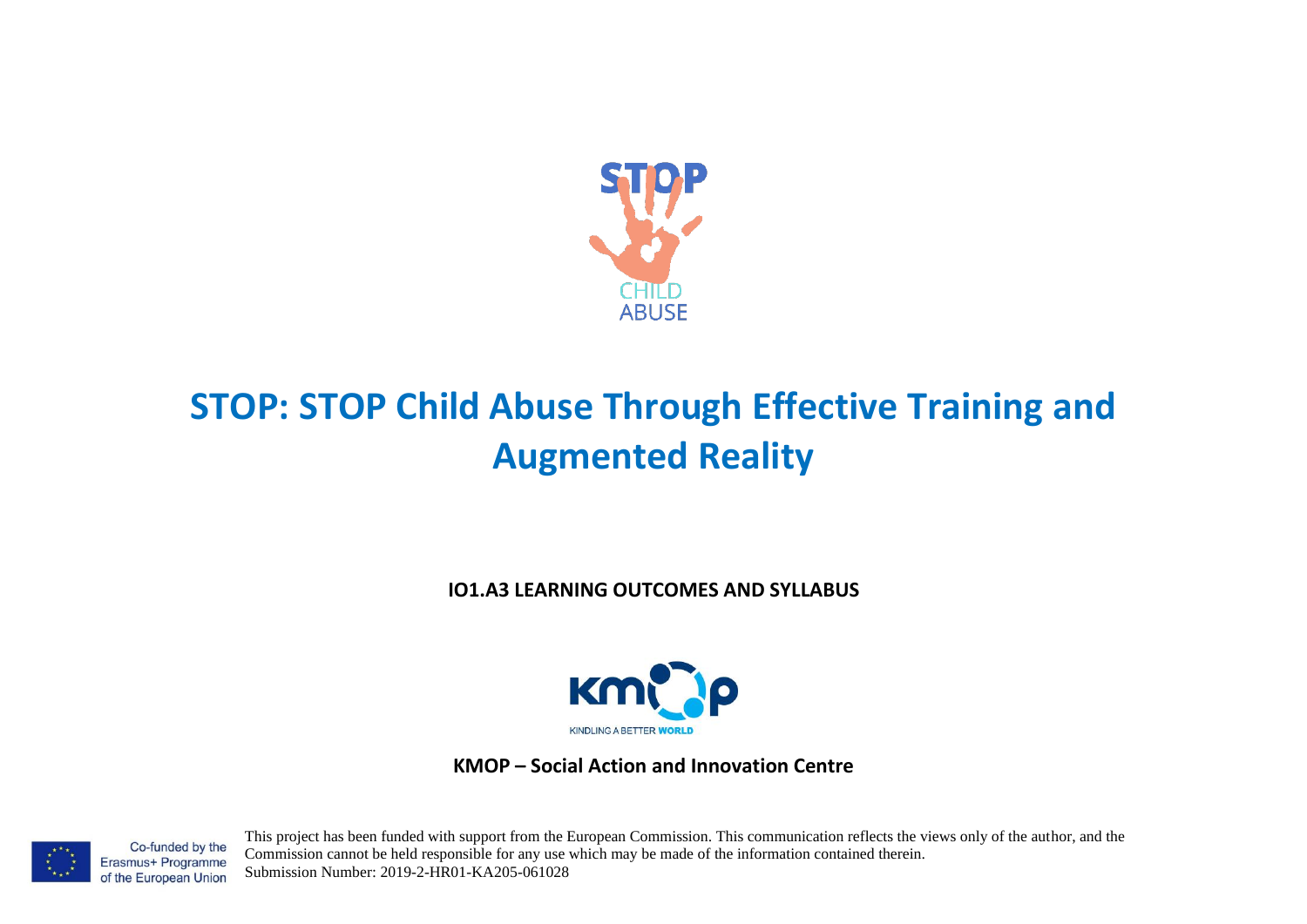

# **STOP: STOP Child Abuse Through Effective Training and Augmented Reality**

**IO1.A3 LEARNING OUTCOMES AND SYLLABUS**



**KMOP – Social Action and Innovation Centre**

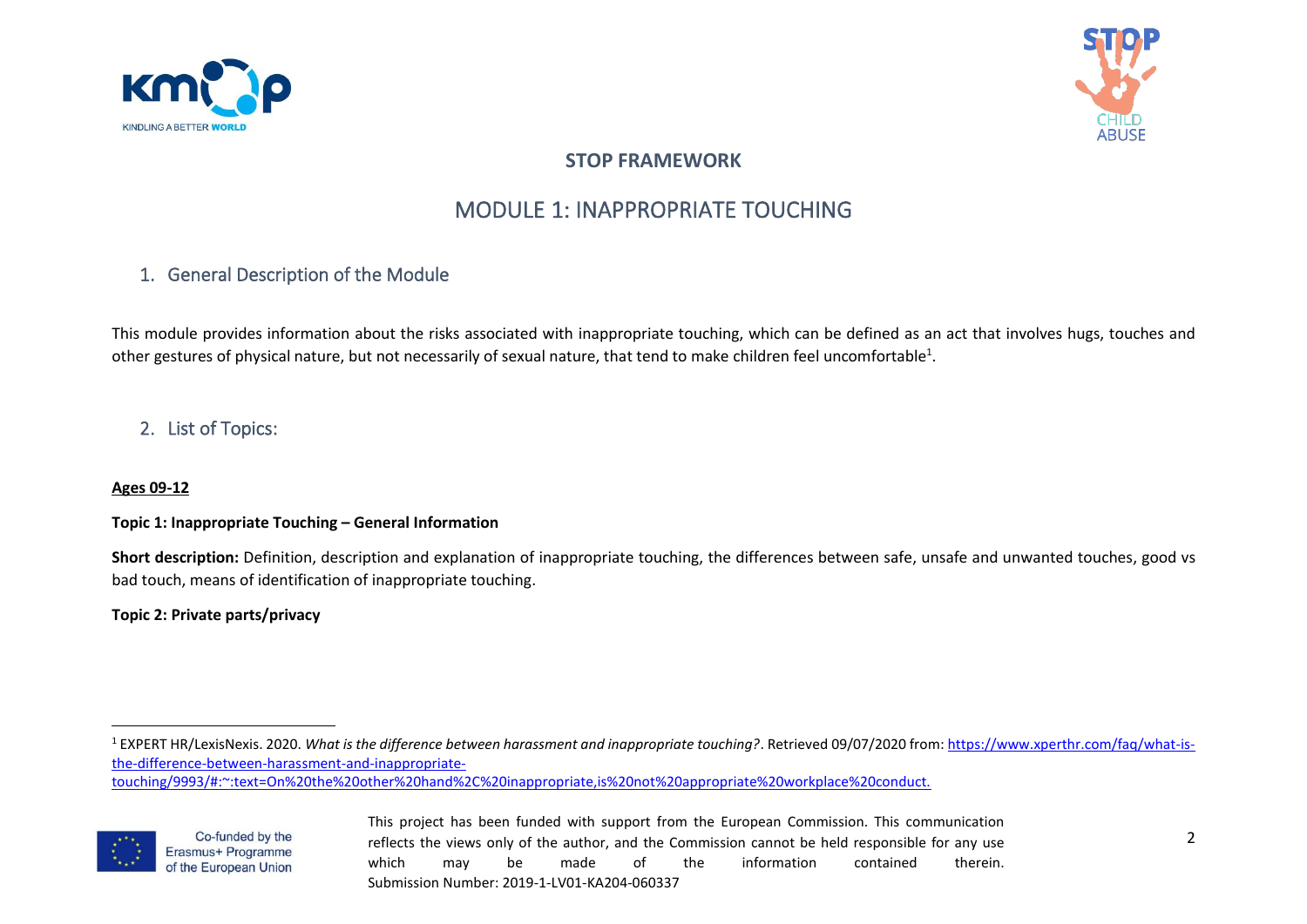



# **STOP FRAMEWORK**

# MODULE 1: INAPPROPRIATE TOUCHING

# 1. General Description of the Module

This module provides information about the risks associated with inappropriate touching, which can be defined as an act that involves hugs, touches and other gestures of physical nature, but not necessarily of sexual nature, that tend to make children feel uncomfortable $^1$ .

# 2. List of Topics:

## **Ages 09-12**

## **Topic 1: Inappropriate Touching – General Information**

**Short description:** Definition, description and explanation of inappropriate touching, the differences between safe, unsafe and unwanted touches, good vs bad touch, means of identification of inappropriate touching.

# **Topic 2: Private parts/privacy**

[touching/9993/#:~:text=On%20the%20other%20hand%2C%20inappropriate,is%20not%20appropriate%20workplace%20conduct.](https://www.xperthr.com/faq/what-is-the-difference-between-harassment-and-inappropriate-touching/9993/#:~:text=On%20the%20other%20hand%2C%20inappropriate,is%20not%20appropriate%20workplace%20conduct.)



<sup>&</sup>lt;sup>1</sup> EXPERT HR/LexisNexis. 2020. What is the difference between harassment and inappropriate touching?. Retrieved 09/07/2020 from[: https://www.xperthr.com/faq/what-is](https://www.xperthr.com/faq/what-is-the-difference-between-harassment-and-inappropriate-touching/9993/#:~:text=On%20the%20other%20hand%2C%20inappropriate,is%20not%20appropriate%20workplace%20conduct.)[the-difference-between-harassment-and-inappropriate-](https://www.xperthr.com/faq/what-is-the-difference-between-harassment-and-inappropriate-touching/9993/#:~:text=On%20the%20other%20hand%2C%20inappropriate,is%20not%20appropriate%20workplace%20conduct.)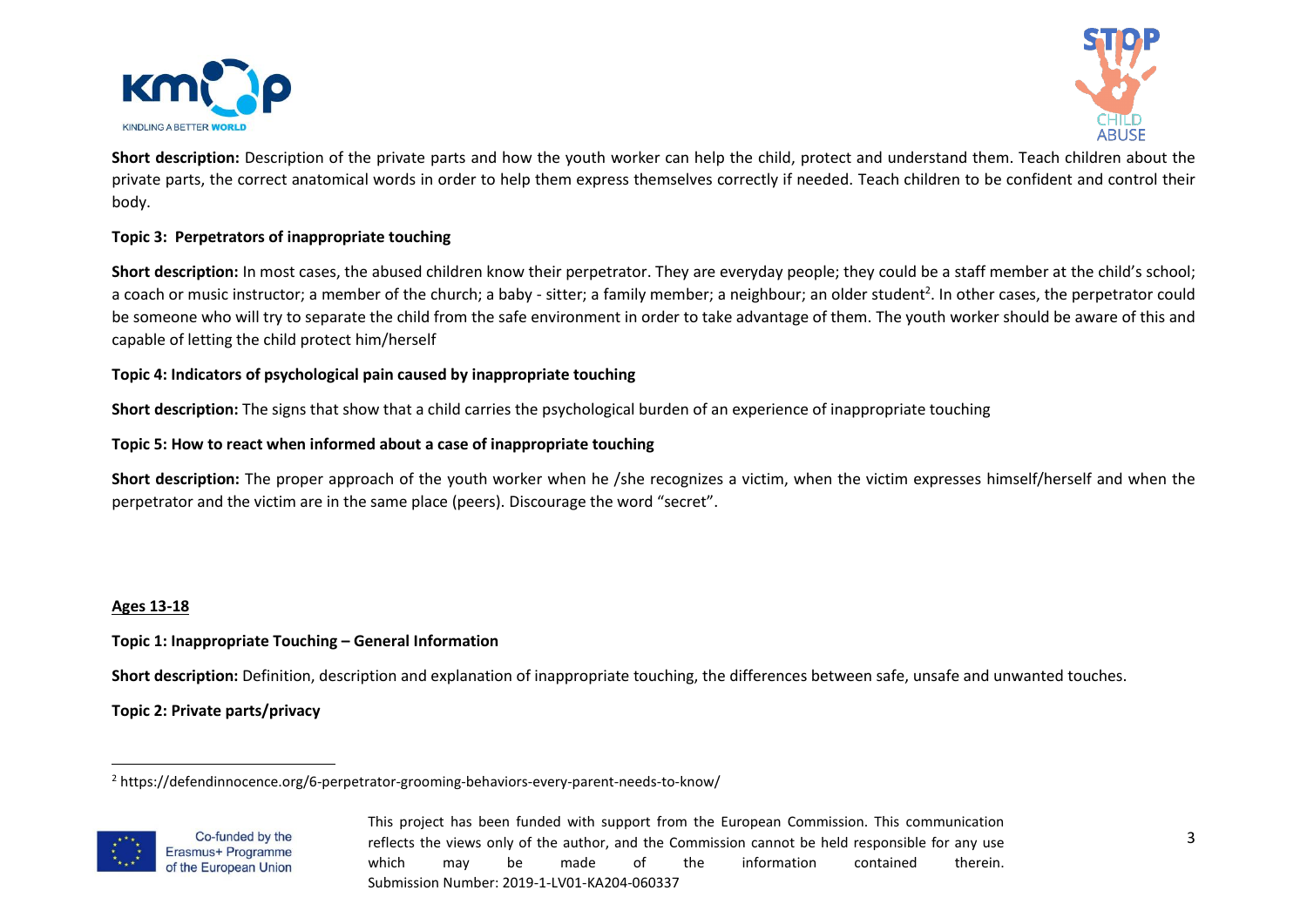



**Short description:** Description of the private parts and how the youth worker can help the child, protect and understand them. Teach children about the private parts, the correct anatomical words in order to help them express themselves correctly if needed. Teach children to be confident and control their body.

# **Topic 3: Perpetrators of inappropriate touching**

**Short description:** In most cases, the abused children know their perpetrator. They are everyday people; they could be a staff member at the child's school; a coach or music instructor; a member of the church; a baby - sitter; a family member; a neighbour; an older student<sup>2</sup>. In other cases, the perpetrator could be someone who will try to separate the child from the safe environment in order to take advantage of them. The youth worker should be aware of this and capable of letting the child protect him/herself

## **Topic 4: Indicators of psychological pain caused by inappropriate touching**

**Short description:** The signs that show that a child carries the psychological burden of an experience of inappropriate touching

**Topic 5: How to react when informed about a case of inappropriate touching**

**Short description:** The proper approach of the youth worker when he /she recognizes a victim, when the victim expresses himself/herself and when the perpetrator and the victim are in the same place (peers). Discourage the word "secret".

#### **Ages 13-18**

## **Topic 1: Inappropriate Touching – General Information**

**Short description:** Definition, description and explanation of inappropriate touching, the differences between safe, unsafe and unwanted touches.

**Topic 2: Private parts/privacy**

<sup>2</sup> https://defendinnocence.org/6-perpetrator-grooming-behaviors-every-parent-needs-to-know/



Co-funded by the Erasmus+ Programme of the European Union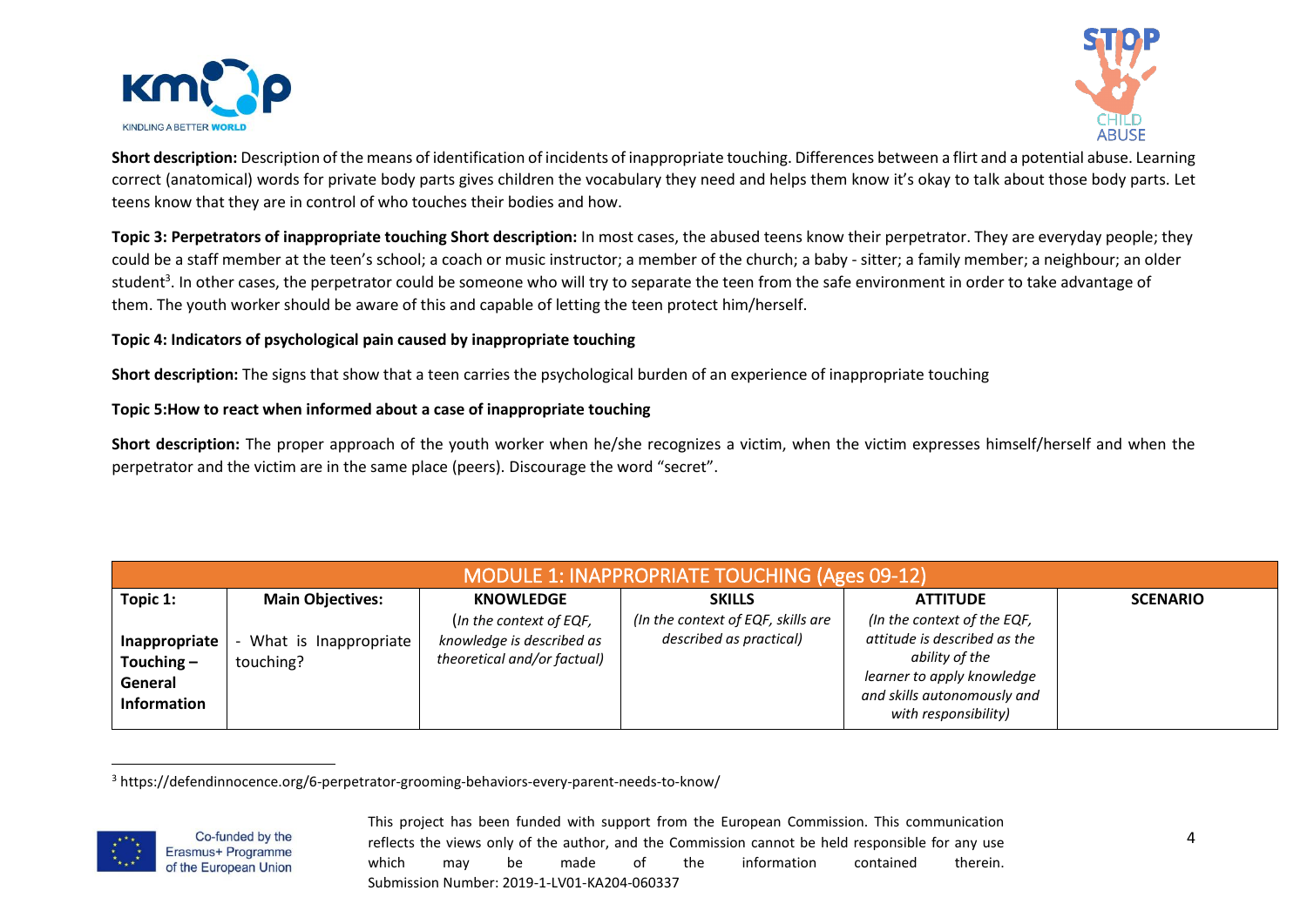



**Short description:** Description of the means of identification of incidents of inappropriate touching. Differences between a flirt and a potential abuse. Learning correct (anatomical) words for private body parts gives children the vocabulary they need and helps them know it's okay to talk about those body parts. Let teens know that they are in control of who touches their bodies and how.

**Topic 3: Perpetrators of inappropriate touching Short description:** In most cases, the abused teens know their perpetrator. They are everyday people; they could be a staff member at the teen's school; a coach or music instructor; a member of the church; a baby - sitter; a family member; a neighbour; an older student<sup>3</sup>. In other cases, the perpetrator could be someone who will try to separate the teen from the safe environment in order to take advantage of them. The youth worker should be aware of this and capable of letting the teen protect him/herself.

# **Topic 4: Indicators of psychological pain caused by inappropriate touching**

**Short description:** The signs that show that a teen carries the psychological burden of an experience of inappropriate touching

## **Topic 5:How to react when informed about a case of inappropriate touching**

**Short description:** The proper approach of the youth worker when he/she recognizes a victim, when the victim expresses himself/herself and when the perpetrator and the victim are in the same place (peers). Discourage the word "secret".

| <b>MODULE 1: INAPPROPRIATE TOUCHING (Ages 09-12)</b>    |                                    |                                                                                     |                                                               |                                                                                                                                                                    |                 |  |  |  |
|---------------------------------------------------------|------------------------------------|-------------------------------------------------------------------------------------|---------------------------------------------------------------|--------------------------------------------------------------------------------------------------------------------------------------------------------------------|-----------------|--|--|--|
| Topic 1:                                                | <b>Main Objectives:</b>            | <b>KNOWLEDGE</b>                                                                    | <b>SKILLS</b>                                                 | <b>ATTITUDE</b>                                                                                                                                                    | <b>SCENARIO</b> |  |  |  |
| Inappropriate<br>Touching $-$<br>General<br>Information | What is Inappropriate<br>touching? | (In the context of EQF,<br>knowledge is described as<br>theoretical and/or factual) | (In the context of EQF, skills are<br>described as practical) | (In the context of the EQF,<br>attitude is described as the<br>ability of the<br>learner to apply knowledge<br>and skills autonomously and<br>with responsibility) |                 |  |  |  |

<sup>3</sup> https://defendinnocence.org/6-perpetrator-grooming-behaviors-every-parent-needs-to-know/



Co-funded by the Erasmus+ Programme of the European Union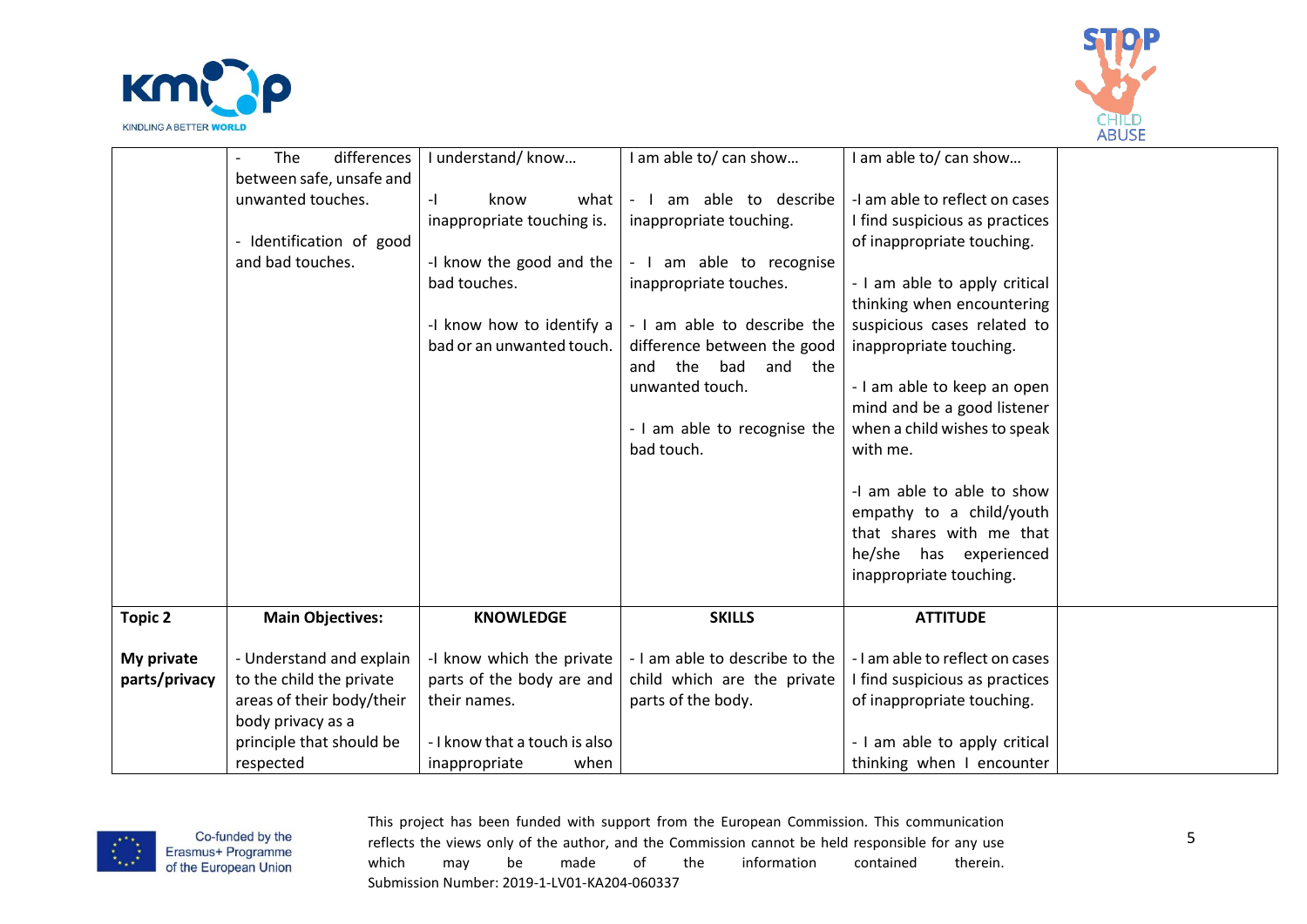



|                | differences<br>The        | I understand/know             | I am able to/ can show          | I am able to/ can show          |  |
|----------------|---------------------------|-------------------------------|---------------------------------|---------------------------------|--|
|                | between safe, unsafe and  |                               |                                 |                                 |  |
|                | unwanted touches.         | know<br>$-1$<br>what I        | - I am able to describe         | -I am able to reflect on cases  |  |
|                |                           | inappropriate touching is.    | inappropriate touching.         | I find suspicious as practices  |  |
|                | - Identification of good  |                               |                                 | of inappropriate touching.      |  |
|                | and bad touches.          | -I know the good and the      | - I am able to recognise        |                                 |  |
|                |                           | bad touches.                  | inappropriate touches.          | - I am able to apply critical   |  |
|                |                           |                               |                                 | thinking when encountering      |  |
|                |                           | -I know how to identify a     | - I am able to describe the     | suspicious cases related to     |  |
|                |                           | bad or an unwanted touch.     | difference between the good     | inappropriate touching.         |  |
|                |                           |                               | the<br>bad<br>and<br>and<br>the |                                 |  |
|                |                           |                               | unwanted touch.                 | - I am able to keep an open     |  |
|                |                           |                               |                                 | mind and be a good listener     |  |
|                |                           |                               | - I am able to recognise the    | when a child wishes to speak    |  |
|                |                           |                               | bad touch.                      | with me.                        |  |
|                |                           |                               |                                 |                                 |  |
|                |                           |                               |                                 | -I am able to able to show      |  |
|                |                           |                               |                                 | empathy to a child/youth        |  |
|                |                           |                               |                                 | that shares with me that        |  |
|                |                           |                               |                                 | he/she has experienced          |  |
|                |                           |                               |                                 | inappropriate touching.         |  |
|                |                           |                               |                                 |                                 |  |
| <b>Topic 2</b> | <b>Main Objectives:</b>   | <b>KNOWLEDGE</b>              | <b>SKILLS</b>                   | <b>ATTITUDE</b>                 |  |
|                |                           |                               |                                 |                                 |  |
| My private     | - Understand and explain  | -I know which the private     | - I am able to describe to the  | - I am able to reflect on cases |  |
| parts/privacy  | to the child the private  | parts of the body are and     | child which are the private     | I find suspicious as practices  |  |
|                | areas of their body/their | their names.                  | parts of the body.              | of inappropriate touching.      |  |
|                | body privacy as a         |                               |                                 |                                 |  |
|                | principle that should be  | - I know that a touch is also |                                 | - I am able to apply critical   |  |
|                | respected                 | when<br>inappropriate         |                                 | thinking when I encounter       |  |

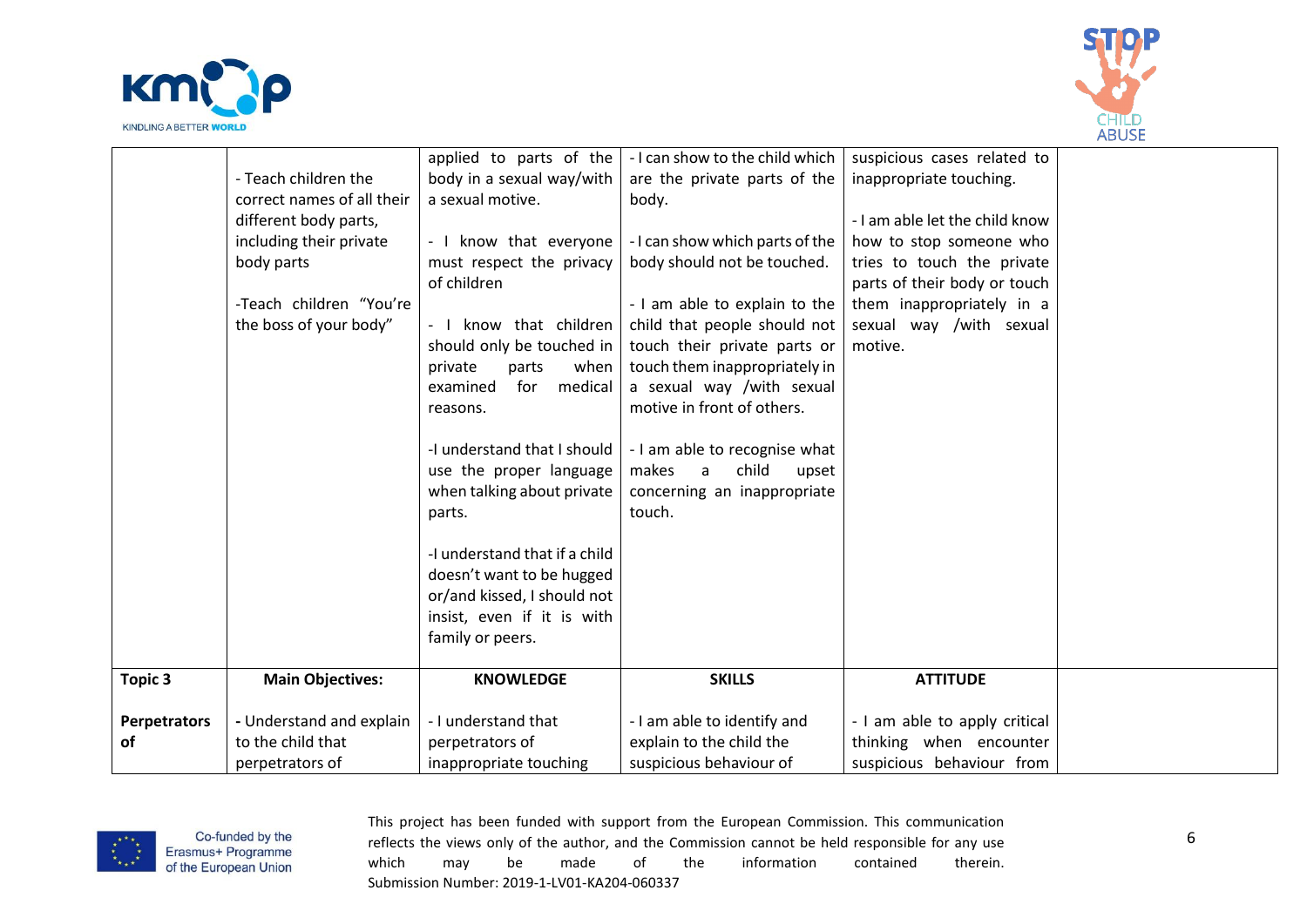



|                     |                            | applied to parts of the       | - I can show to the child which | suspicious cases related to    |  |
|---------------------|----------------------------|-------------------------------|---------------------------------|--------------------------------|--|
|                     | - Teach children the       | body in a sexual way/with     | are the private parts of the    | inappropriate touching.        |  |
|                     | correct names of all their | a sexual motive.              | body.                           |                                |  |
|                     | different body parts,      |                               |                                 | - I am able let the child know |  |
|                     | including their private    | - I know that everyone        | - I can show which parts of the | how to stop someone who        |  |
|                     | body parts                 | must respect the privacy      | body should not be touched.     | tries to touch the private     |  |
|                     |                            | of children                   |                                 | parts of their body or touch   |  |
|                     | -Teach children "You're    |                               | - I am able to explain to the   | them inappropriately in a      |  |
|                     | the boss of your body"     | - I know that children        | child that people should not    | sexual way /with sexual        |  |
|                     |                            | should only be touched in     | touch their private parts or    | motive.                        |  |
|                     |                            | when<br>private<br>parts      | touch them inappropriately in   |                                |  |
|                     |                            | medical<br>examined<br>for    | a sexual way /with sexual       |                                |  |
|                     |                            | reasons.                      | motive in front of others.      |                                |  |
|                     |                            |                               |                                 |                                |  |
|                     |                            | -I understand that I should   | - I am able to recognise what   |                                |  |
|                     |                            | use the proper language       | child<br>makes<br>upset<br>a    |                                |  |
|                     |                            | when talking about private    | concerning an inappropriate     |                                |  |
|                     |                            | parts.                        | touch.                          |                                |  |
|                     |                            |                               |                                 |                                |  |
|                     |                            | -I understand that if a child |                                 |                                |  |
|                     |                            | doesn't want to be hugged     |                                 |                                |  |
|                     |                            | or/and kissed, I should not   |                                 |                                |  |
|                     |                            | insist, even if it is with    |                                 |                                |  |
|                     |                            | family or peers.              |                                 |                                |  |
|                     |                            |                               |                                 |                                |  |
| Topic 3             | <b>Main Objectives:</b>    | <b>KNOWLEDGE</b>              | <b>SKILLS</b>                   | <b>ATTITUDE</b>                |  |
|                     |                            |                               |                                 |                                |  |
| <b>Perpetrators</b> | - Understand and explain   | - I understand that           | - I am able to identify and     | - I am able to apply critical  |  |
| <b>of</b>           | to the child that          | perpetrators of               | explain to the child the        | thinking when encounter        |  |
|                     | perpetrators of            | inappropriate touching        | suspicious behaviour of         | suspicious behaviour from      |  |

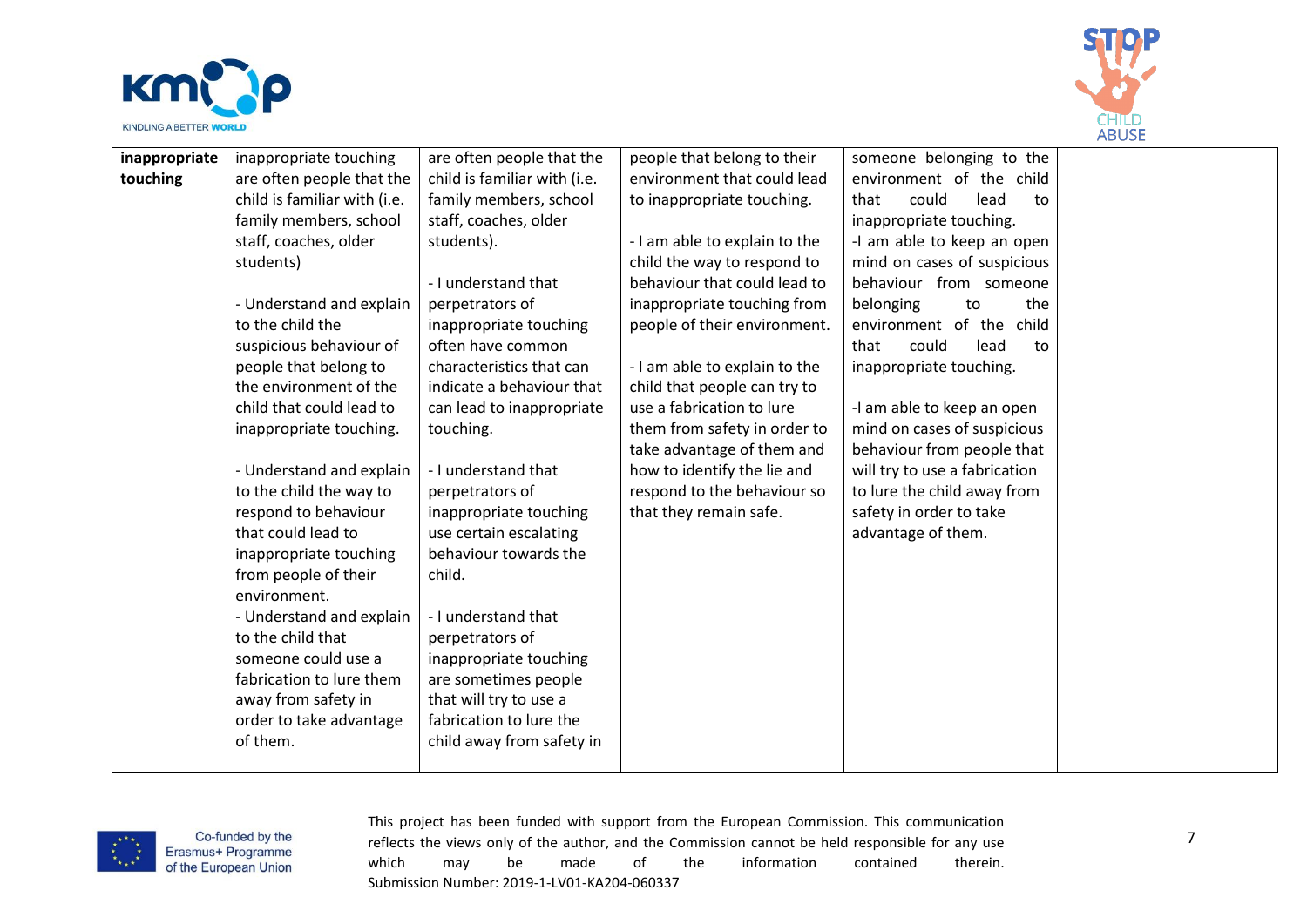



| inappropriate | inappropriate touching       | are often people that the    | people that belong to their   | someone belonging to the      |  |
|---------------|------------------------------|------------------------------|-------------------------------|-------------------------------|--|
| touching      | are often people that the    | child is familiar with (i.e. | environment that could lead   | environment of the child      |  |
|               | child is familiar with (i.e. | family members, school       | to inappropriate touching.    | could<br>lead<br>that<br>to   |  |
|               | family members, school       | staff, coaches, older        |                               | inappropriate touching.       |  |
|               | staff, coaches, older        | students).                   | - I am able to explain to the | -I am able to keep an open    |  |
|               | students)                    |                              | child the way to respond to   | mind on cases of suspicious   |  |
|               |                              | - I understand that          | behaviour that could lead to  | behaviour from someone        |  |
|               | - Understand and explain     | perpetrators of              | inappropriate touching from   | belonging<br>the<br>to        |  |
|               | to the child the             | inappropriate touching       | people of their environment.  | environment of the<br>child   |  |
|               | suspicious behaviour of      | often have common            |                               | that<br>could<br>lead<br>to   |  |
|               | people that belong to        | characteristics that can     | - I am able to explain to the | inappropriate touching.       |  |
|               | the environment of the       | indicate a behaviour that    | child that people can try to  |                               |  |
|               | child that could lead to     | can lead to inappropriate    | use a fabrication to lure     | -I am able to keep an open    |  |
|               | inappropriate touching.      | touching.                    | them from safety in order to  | mind on cases of suspicious   |  |
|               |                              |                              | take advantage of them and    | behaviour from people that    |  |
|               | - Understand and explain     | - I understand that          | how to identify the lie and   | will try to use a fabrication |  |
|               | to the child the way to      | perpetrators of              | respond to the behaviour so   | to lure the child away from   |  |
|               | respond to behaviour         | inappropriate touching       | that they remain safe.        | safety in order to take       |  |
|               | that could lead to           | use certain escalating       |                               | advantage of them.            |  |
|               | inappropriate touching       | behaviour towards the        |                               |                               |  |
|               | from people of their         | child.                       |                               |                               |  |
|               | environment.                 |                              |                               |                               |  |
|               | - Understand and explain     | - I understand that          |                               |                               |  |
|               | to the child that            | perpetrators of              |                               |                               |  |
|               | someone could use a          | inappropriate touching       |                               |                               |  |
|               | fabrication to lure them     | are sometimes people         |                               |                               |  |
|               | away from safety in          | that will try to use a       |                               |                               |  |
|               | order to take advantage      | fabrication to lure the      |                               |                               |  |
|               | of them.                     | child away from safety in    |                               |                               |  |
|               |                              |                              |                               |                               |  |

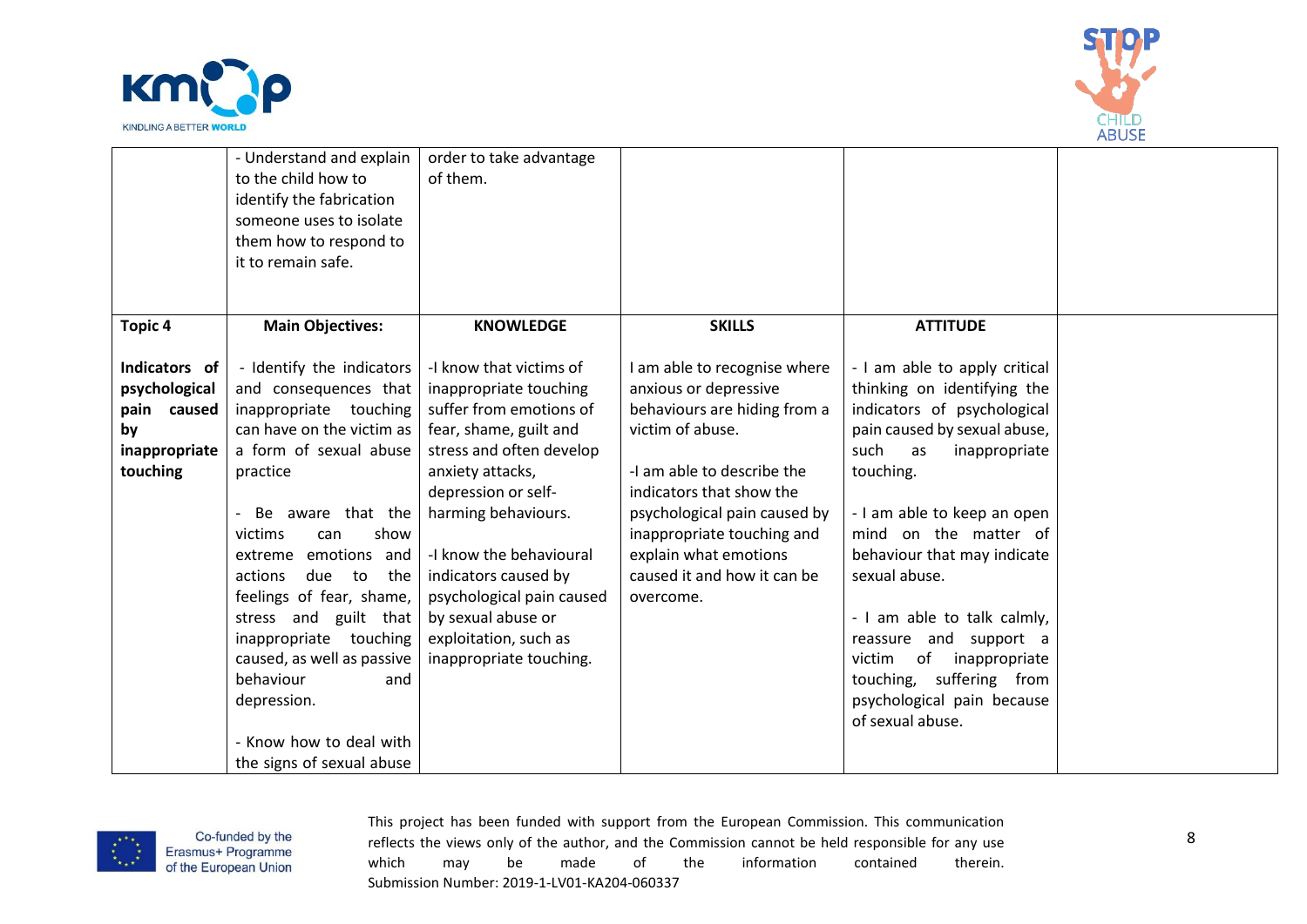



|                | - Understand and explain                     | order to take advantage   |                              |                               |  |
|----------------|----------------------------------------------|---------------------------|------------------------------|-------------------------------|--|
|                | to the child how to                          | of them.                  |                              |                               |  |
|                | identify the fabrication                     |                           |                              |                               |  |
|                | someone uses to isolate                      |                           |                              |                               |  |
|                | them how to respond to<br>it to remain safe. |                           |                              |                               |  |
|                |                                              |                           |                              |                               |  |
|                |                                              |                           |                              |                               |  |
| <b>Topic 4</b> | <b>Main Objectives:</b>                      | <b>KNOWLEDGE</b>          | <b>SKILLS</b>                | <b>ATTITUDE</b>               |  |
|                |                                              |                           |                              |                               |  |
| Indicators of  | - Identify the indicators                    | -I know that victims of   | I am able to recognise where | - I am able to apply critical |  |
| psychological  | and consequences that                        | inappropriate touching    | anxious or depressive        | thinking on identifying the   |  |
| pain caused    | inappropriate touching                       | suffer from emotions of   | behaviours are hiding from a | indicators of psychological   |  |
| by             | can have on the victim as                    | fear, shame, guilt and    | victim of abuse.             | pain caused by sexual abuse,  |  |
| inappropriate  | a form of sexual abuse                       | stress and often develop  |                              | such<br>inappropriate<br>as   |  |
| touching       | practice                                     | anxiety attacks,          | -I am able to describe the   | touching.                     |  |
|                |                                              | depression or self-       | indicators that show the     |                               |  |
|                | Be aware that the                            | harming behaviours.       | psychological pain caused by | - I am able to keep an open   |  |
|                | show<br>victims<br>can                       |                           | inappropriate touching and   | mind on the matter of         |  |
|                | emotions and<br>extreme                      | -I know the behavioural   | explain what emotions        | behaviour that may indicate   |  |
|                | actions<br>due<br>to<br>the                  | indicators caused by      | caused it and how it can be  | sexual abuse.                 |  |
|                | feelings of fear, shame,                     | psychological pain caused | overcome.                    |                               |  |
|                | stress and guilt that                        | by sexual abuse or        |                              | - I am able to talk calmly,   |  |
|                | inappropriate touching                       | exploitation, such as     |                              | reassure and support a        |  |
|                | caused, as well as passive                   | inappropriate touching.   |                              | of<br>inappropriate<br>victim |  |
|                | behaviour<br>and                             |                           |                              | touching, suffering from      |  |
|                | depression.                                  |                           |                              | psychological pain because    |  |
|                |                                              |                           |                              | of sexual abuse.              |  |
|                | - Know how to deal with                      |                           |                              |                               |  |
|                | the signs of sexual abuse                    |                           |                              |                               |  |

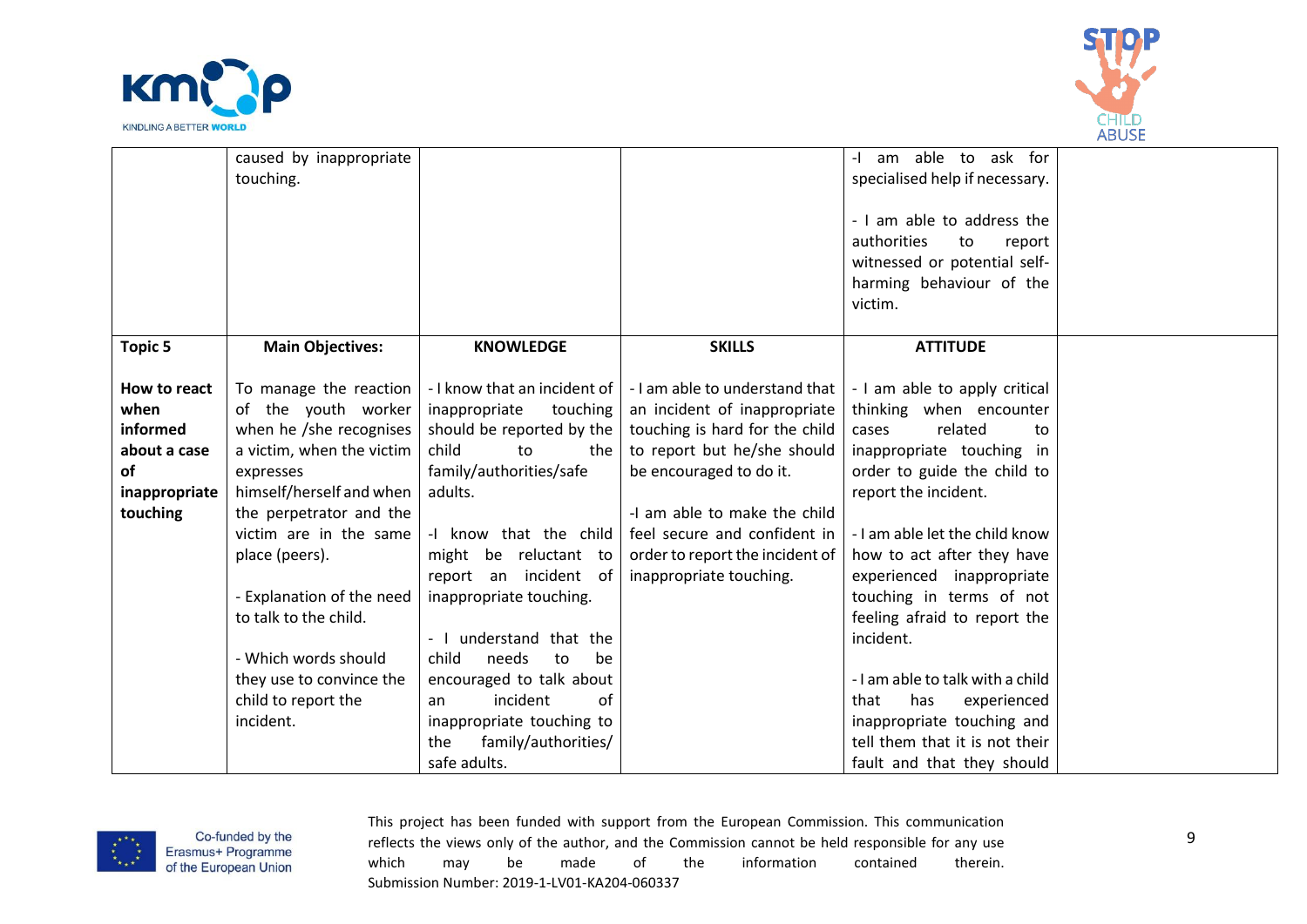



|                                                                                     | caused by inappropriate<br>touching.                                                                                                                                                                                                                                                                                                                                |                                                                                                                                                                                                                                                                                                                                                                                                                   |                                                                                                                                                                                                                                                                                                                         | -I am able to ask for<br>specialised help if necessary.<br>- I am able to address the<br>authorities<br>to<br>report<br>witnessed or potential self-<br>harming behaviour of the                                                                                                                                                                                                                                                                                                                             |  |
|-------------------------------------------------------------------------------------|---------------------------------------------------------------------------------------------------------------------------------------------------------------------------------------------------------------------------------------------------------------------------------------------------------------------------------------------------------------------|-------------------------------------------------------------------------------------------------------------------------------------------------------------------------------------------------------------------------------------------------------------------------------------------------------------------------------------------------------------------------------------------------------------------|-------------------------------------------------------------------------------------------------------------------------------------------------------------------------------------------------------------------------------------------------------------------------------------------------------------------------|--------------------------------------------------------------------------------------------------------------------------------------------------------------------------------------------------------------------------------------------------------------------------------------------------------------------------------------------------------------------------------------------------------------------------------------------------------------------------------------------------------------|--|
|                                                                                     |                                                                                                                                                                                                                                                                                                                                                                     |                                                                                                                                                                                                                                                                                                                                                                                                                   |                                                                                                                                                                                                                                                                                                                         | victim.                                                                                                                                                                                                                                                                                                                                                                                                                                                                                                      |  |
| <b>Topic 5</b>                                                                      | <b>Main Objectives:</b>                                                                                                                                                                                                                                                                                                                                             | <b>KNOWLEDGE</b>                                                                                                                                                                                                                                                                                                                                                                                                  | <b>SKILLS</b>                                                                                                                                                                                                                                                                                                           | <b>ATTITUDE</b>                                                                                                                                                                                                                                                                                                                                                                                                                                                                                              |  |
| How to react<br>when<br>informed<br>about a case<br>of<br>inappropriate<br>touching | To manage the reaction<br>of the youth worker<br>when he /she recognises<br>a victim, when the victim<br>expresses<br>himself/herself and when<br>the perpetrator and the<br>victim are in the same<br>place (peers).<br>- Explanation of the need<br>to talk to the child.<br>- Which words should<br>they use to convince the<br>child to report the<br>incident. | inappropriate<br>touching<br>should be reported by the<br>child<br>the<br>to<br>family/authorities/safe<br>adults.<br>-I know that the child<br>might be reluctant to<br>report an incident of<br>inappropriate touching.<br>- I understand that the<br>child<br>needs<br>to<br>be<br>encouraged to talk about<br>incident<br>of<br>an<br>inappropriate touching to<br>family/authorities/<br>the<br>safe adults. | - I know that an incident of   - I am able to understand that<br>an incident of inappropriate<br>touching is hard for the child<br>to report but he/she should<br>be encouraged to do it.<br>-I am able to make the child<br>feel secure and confident in<br>order to report the incident of<br>inappropriate touching. | - I am able to apply critical<br>thinking when encounter<br>cases<br>related<br>to<br>inappropriate touching in<br>order to guide the child to<br>report the incident.<br>- I am able let the child know<br>how to act after they have<br>experienced inappropriate<br>touching in terms of not<br>feeling afraid to report the<br>incident.<br>- I am able to talk with a child<br>has<br>that<br>experienced<br>inappropriate touching and<br>tell them that it is not their<br>fault and that they should |  |

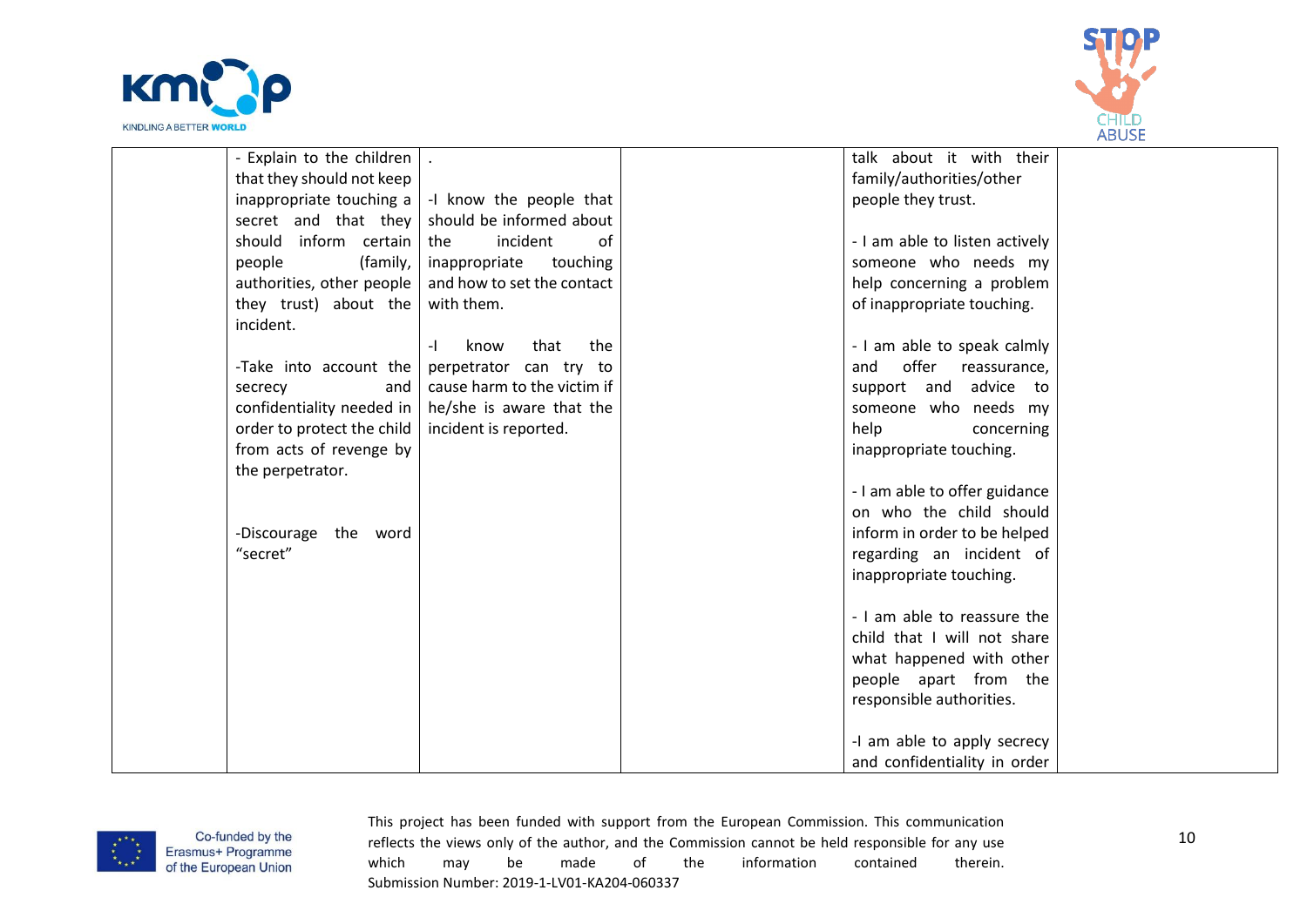



| - Explain to the children  |                             | talk about it with their       |  |
|----------------------------|-----------------------------|--------------------------------|--|
| that they should not keep  |                             | family/authorities/other       |  |
| inappropriate touching a   | -I know the people that     | people they trust.             |  |
| secret and that they       | should be informed about    |                                |  |
| should inform certain      | incident<br>of<br>the       | - I am able to listen actively |  |
| people<br>(family,         | inappropriate<br>touching   | someone who needs my           |  |
| authorities, other people  | and how to set the contact  | help concerning a problem      |  |
| they trust) about the      | with them.                  | of inappropriate touching.     |  |
| incident.                  |                             |                                |  |
|                            | that<br>the<br>$-1$<br>know | - I am able to speak calmly    |  |
| -Take into account the     | perpetrator can try to      | offer<br>and<br>reassurance,   |  |
| secrecy<br>and             | cause harm to the victim if | support and advice to          |  |
| confidentiality needed in  | he/she is aware that the    | someone who needs my           |  |
| order to protect the child | incident is reported.       | help<br>concerning             |  |
| from acts of revenge by    |                             | inappropriate touching.        |  |
| the perpetrator.           |                             |                                |  |
|                            |                             | - I am able to offer guidance  |  |
|                            |                             | on who the child should        |  |
| -Discourage the word       |                             | inform in order to be helped   |  |
| "secret"                   |                             | regarding an incident of       |  |
|                            |                             | inappropriate touching.        |  |
|                            |                             |                                |  |
|                            |                             | - I am able to reassure the    |  |
|                            |                             | child that I will not share    |  |
|                            |                             | what happened with other       |  |
|                            |                             | people apart from the          |  |
|                            |                             | responsible authorities.       |  |
|                            |                             |                                |  |
|                            |                             | -I am able to apply secrecy    |  |
|                            |                             | and confidentiality in order   |  |

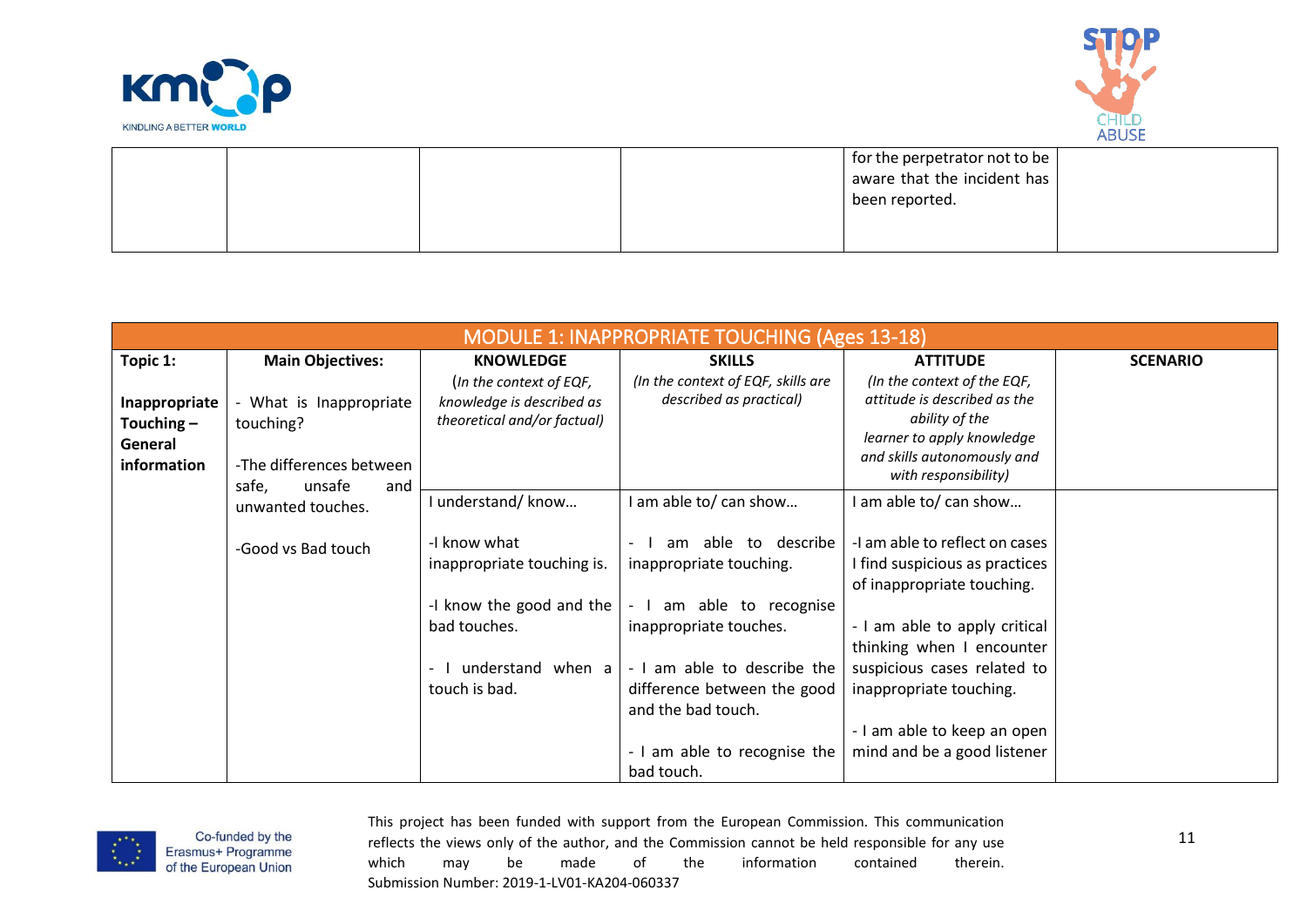



|  |  | for the perpetrator not to be |  |
|--|--|-------------------------------|--|
|  |  | aware that the incident has   |  |
|  |  | been reported.                |  |
|  |  |                               |  |
|  |  |                               |  |

|               | <b>MODULE 1: INAPPROPRIATE TOUCHING (Ages 13-18)</b> |                             |                                    |                                                     |                 |  |  |
|---------------|------------------------------------------------------|-----------------------------|------------------------------------|-----------------------------------------------------|-----------------|--|--|
| Topic 1:      | <b>Main Objectives:</b>                              | <b>KNOWLEDGE</b>            | <b>SKILLS</b>                      | <b>ATTITUDE</b>                                     | <b>SCENARIO</b> |  |  |
|               |                                                      | (In the context of EQF,     | (In the context of EQF, skills are | (In the context of the EQF,                         |                 |  |  |
| Inappropriate | What is Inappropriate                                | knowledge is described as   | described as practical)            | attitude is described as the                        |                 |  |  |
| Touching $-$  | touching?                                            | theoretical and/or factual) |                                    | ability of the                                      |                 |  |  |
| General       |                                                      |                             |                                    | learner to apply knowledge                          |                 |  |  |
| information   | -The differences between                             |                             |                                    | and skills autonomously and<br>with responsibility) |                 |  |  |
|               | safe,<br>unsafe<br>and                               |                             |                                    |                                                     |                 |  |  |
|               | unwanted touches.                                    | I understand/ know          | I am able to/ can show             | I am able to/ can show                              |                 |  |  |
|               |                                                      |                             |                                    |                                                     |                 |  |  |
|               | -Good vs Bad touch                                   | -I know what                | able to describe<br>am             | -I am able to reflect on cases                      |                 |  |  |
|               |                                                      | inappropriate touching is.  | inappropriate touching.            | I find suspicious as practices                      |                 |  |  |
|               |                                                      |                             |                                    | of inappropriate touching.                          |                 |  |  |
|               |                                                      | -I know the good and the    | am able to recognise               |                                                     |                 |  |  |
|               |                                                      | bad touches.                | inappropriate touches.             | - I am able to apply critical                       |                 |  |  |
|               |                                                      |                             |                                    | thinking when I encounter                           |                 |  |  |
|               |                                                      | understand when a           | - I am able to describe the        | suspicious cases related to                         |                 |  |  |
|               |                                                      | touch is bad.               | difference between the good        | inappropriate touching.                             |                 |  |  |
|               |                                                      |                             | and the bad touch.                 |                                                     |                 |  |  |
|               |                                                      |                             |                                    | - I am able to keep an open                         |                 |  |  |
|               |                                                      |                             | - I am able to recognise the       | mind and be a good listener                         |                 |  |  |
|               |                                                      |                             | bad touch.                         |                                                     |                 |  |  |

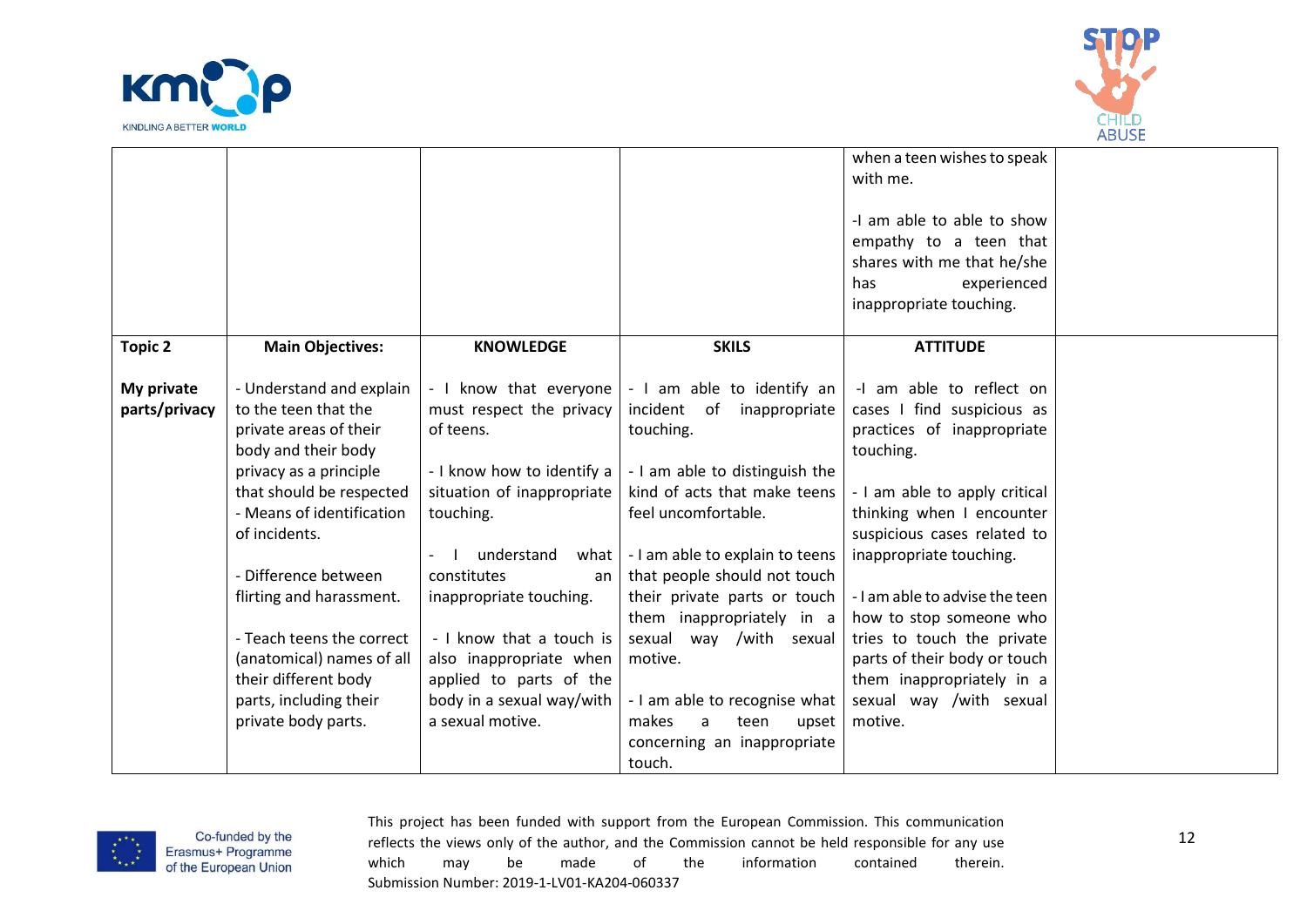



|                |                           |                            |                                              | when a teen wishes to speak<br>with me.<br>-I am able to able to show |  |
|----------------|---------------------------|----------------------------|----------------------------------------------|-----------------------------------------------------------------------|--|
|                |                           |                            |                                              | empathy to a teen that                                                |  |
|                |                           |                            |                                              | shares with me that he/she                                            |  |
|                |                           |                            |                                              | experienced<br>has                                                    |  |
|                |                           |                            |                                              | inappropriate touching.                                               |  |
|                |                           |                            |                                              |                                                                       |  |
| <b>Topic 2</b> | <b>Main Objectives:</b>   | <b>KNOWLEDGE</b>           | <b>SKILS</b>                                 | <b>ATTITUDE</b>                                                       |  |
| My private     | - Understand and explain  | - I know that everyone     | - I am able to identify an                   | -I am able to reflect on                                              |  |
| parts/privacy  | to the teen that the      | must respect the privacy   | incident of inappropriate                    | cases I find suspicious as                                            |  |
|                | private areas of their    | of teens.                  | touching.                                    | practices of inappropriate                                            |  |
|                | body and their body       |                            |                                              | touching.                                                             |  |
|                | privacy as a principle    | - I know how to identify a | - I am able to distinguish the               |                                                                       |  |
|                | that should be respected  | situation of inappropriate | kind of acts that make teens                 | - I am able to apply critical                                         |  |
|                | - Means of identification | touching.                  | feel uncomfortable.                          | thinking when I encounter                                             |  |
|                | of incidents.             |                            |                                              | suspicious cases related to                                           |  |
|                |                           | understand                 | what $\vert$ - I am able to explain to teens | inappropriate touching.                                               |  |
|                | - Difference between      | constitutes<br>an          | that people should not touch                 |                                                                       |  |
|                | flirting and harassment.  | inappropriate touching.    | their private parts or touch                 | - I am able to advise the teen                                        |  |
|                |                           |                            | them inappropriately in $a$                  | how to stop someone who                                               |  |
|                | - Teach teens the correct | - I know that a touch is   | sexual way /with sexual                      | tries to touch the private                                            |  |
|                | (anatomical) names of all | also inappropriate when    | motive.                                      | parts of their body or touch                                          |  |
|                | their different body      | applied to parts of the    |                                              | them inappropriately in a                                             |  |
|                | parts, including their    | body in a sexual way/with  | - I am able to recognise what                | sexual way /with sexual                                               |  |
|                | private body parts.       | a sexual motive.           | makes<br>a<br>teen<br>upset                  | motive.                                                               |  |
|                |                           |                            | concerning an inappropriate<br>touch.        |                                                                       |  |
|                |                           |                            |                                              |                                                                       |  |

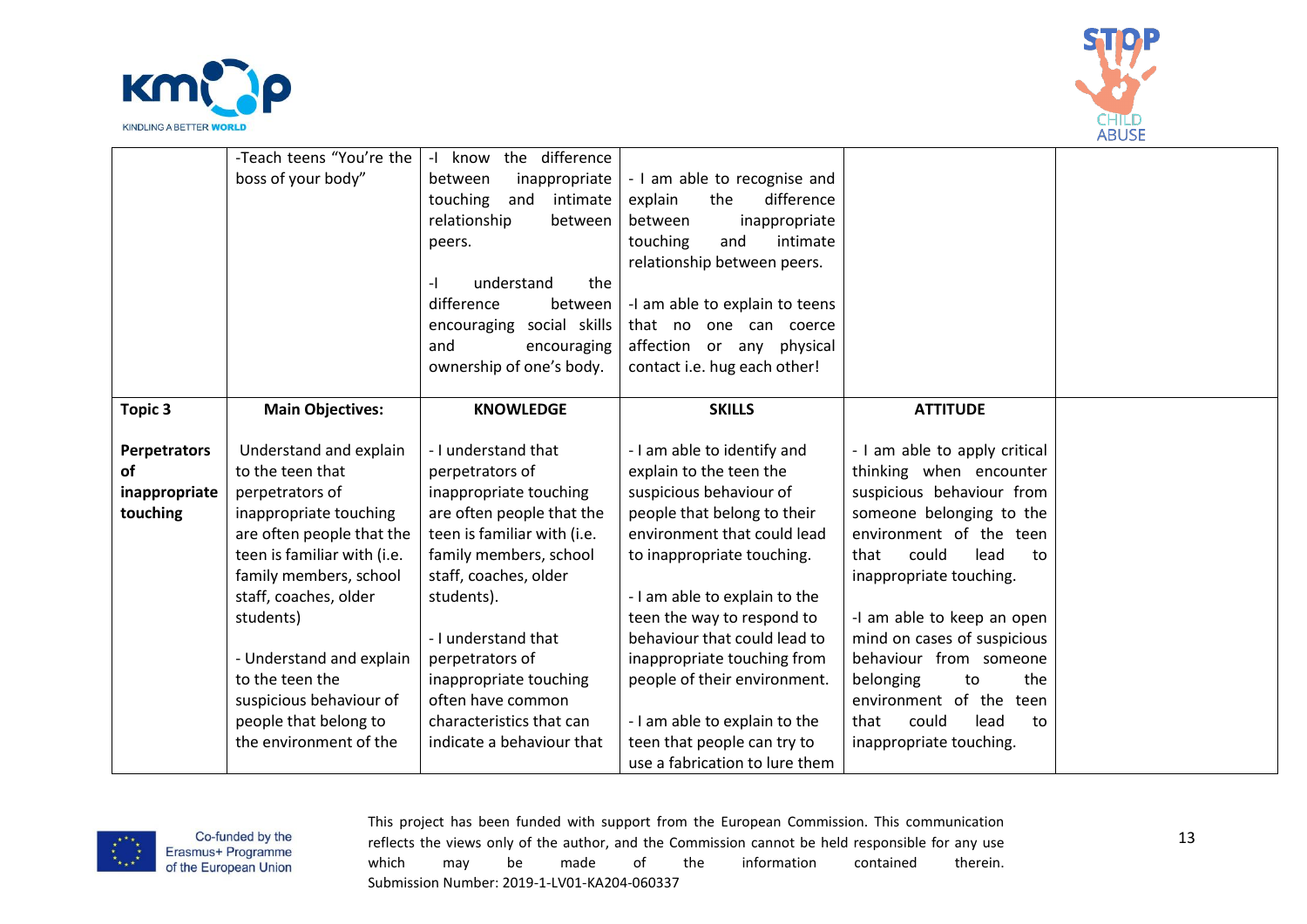



|               | -Teach teens "You're the    | know the difference<br>$-1$ |                                |                               |  |
|---------------|-----------------------------|-----------------------------|--------------------------------|-------------------------------|--|
|               | boss of your body"          | inappropriate<br>between    | - I am able to recognise and   |                               |  |
|               |                             | touching<br>and<br>intimate | difference<br>explain<br>the   |                               |  |
|               |                             | relationship<br>between     | between<br>inappropriate       |                               |  |
|               |                             | peers.                      | touching<br>intimate<br>and    |                               |  |
|               |                             |                             | relationship between peers.    |                               |  |
|               |                             | the<br>understand<br>-1     |                                |                               |  |
|               |                             | difference<br>between       | -I am able to explain to teens |                               |  |
|               |                             | encouraging social skills   | that no one can coerce         |                               |  |
|               |                             | and<br>encouraging          | affection or any physical      |                               |  |
|               |                             | ownership of one's body.    | contact i.e. hug each other!   |                               |  |
|               |                             |                             |                                |                               |  |
| Topic 3       | <b>Main Objectives:</b>     | <b>KNOWLEDGE</b>            | <b>SKILLS</b>                  | <b>ATTITUDE</b>               |  |
|               |                             |                             |                                |                               |  |
| Perpetrators  | Understand and explain      | - I understand that         | - I am able to identify and    | - I am able to apply critical |  |
| <b>of</b>     | to the teen that            | perpetrators of             | explain to the teen the        | thinking when encounter       |  |
| inappropriate | perpetrators of             | inappropriate touching      | suspicious behaviour of        | suspicious behaviour from     |  |
| touching      | inappropriate touching      | are often people that the   | people that belong to their    | someone belonging to the      |  |
|               | are often people that the   | teen is familiar with (i.e. | environment that could lead    | environment of the teen       |  |
|               | teen is familiar with (i.e. | family members, school      | to inappropriate touching.     | could<br>lead<br>that<br>to   |  |
|               | family members, school      | staff, coaches, older       |                                | inappropriate touching.       |  |
|               | staff, coaches, older       | students).                  | - I am able to explain to the  |                               |  |
|               | students)                   |                             | teen the way to respond to     | -I am able to keep an open    |  |
|               |                             | - I understand that         | behaviour that could lead to   | mind on cases of suspicious   |  |
|               | - Understand and explain    | perpetrators of             | inappropriate touching from    | behaviour from someone        |  |
|               | to the teen the             | inappropriate touching      | people of their environment.   | belonging<br>the<br>to        |  |
|               | suspicious behaviour of     | often have common           |                                | environment of the teen       |  |
|               | people that belong to       | characteristics that can    | - I am able to explain to the  | could<br>that<br>lead<br>to   |  |
|               | the environment of the      | indicate a behaviour that   | teen that people can try to    | inappropriate touching.       |  |
|               |                             |                             | use a fabrication to lure them |                               |  |

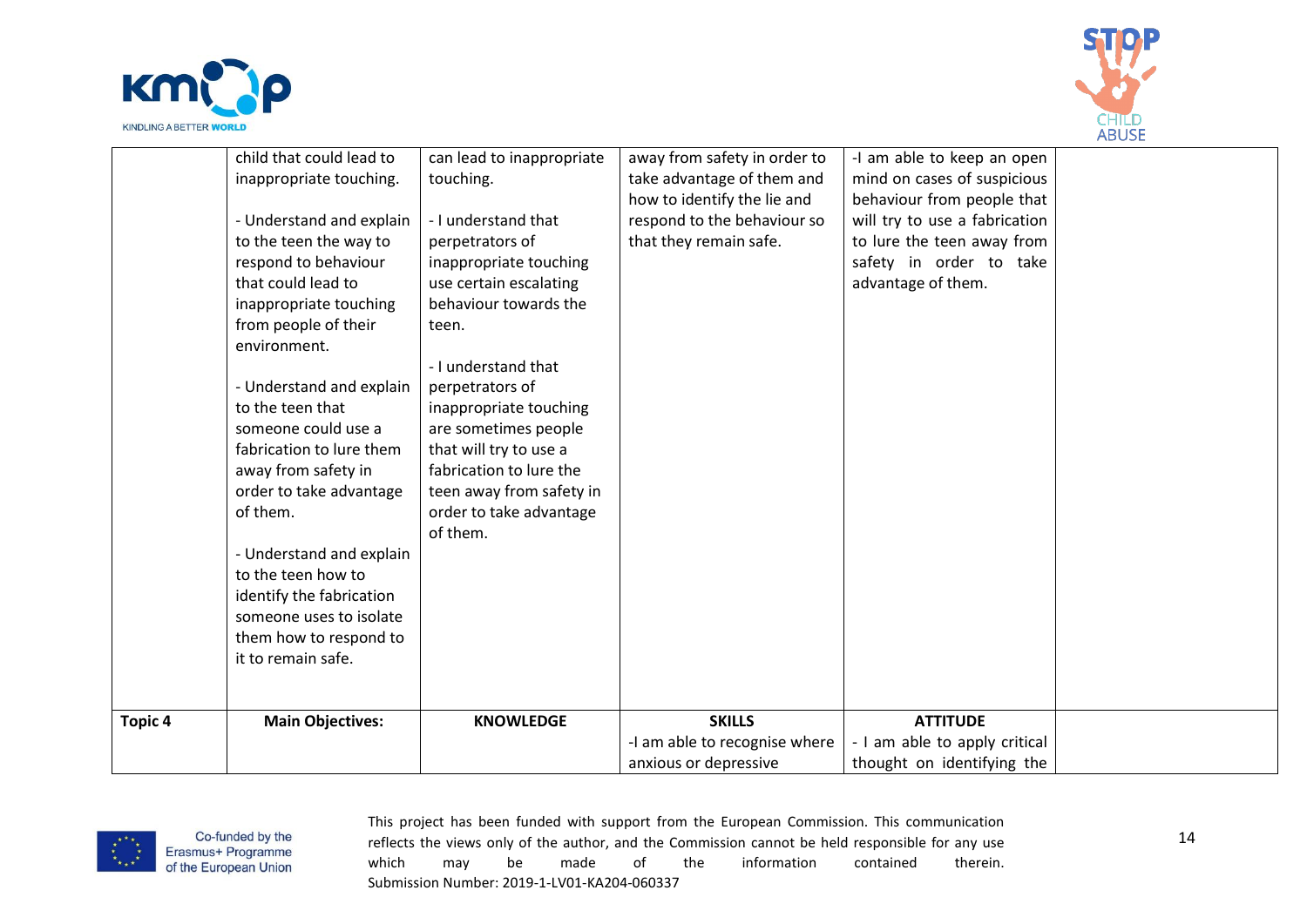



|         | child that could lead to | can lead to inappropriate | away from safety in order to  | -I am able to keep an open    |  |
|---------|--------------------------|---------------------------|-------------------------------|-------------------------------|--|
|         | inappropriate touching.  | touching.                 | take advantage of them and    | mind on cases of suspicious   |  |
|         |                          |                           | how to identify the lie and   | behaviour from people that    |  |
|         | - Understand and explain | - I understand that       | respond to the behaviour so   | will try to use a fabrication |  |
|         | to the teen the way to   | perpetrators of           | that they remain safe.        | to lure the teen away from    |  |
|         | respond to behaviour     | inappropriate touching    |                               | safety in order to take       |  |
|         | that could lead to       | use certain escalating    |                               | advantage of them.            |  |
|         | inappropriate touching   | behaviour towards the     |                               |                               |  |
|         | from people of their     | teen.                     |                               |                               |  |
|         | environment.             |                           |                               |                               |  |
|         |                          | - I understand that       |                               |                               |  |
|         | - Understand and explain | perpetrators of           |                               |                               |  |
|         | to the teen that         | inappropriate touching    |                               |                               |  |
|         | someone could use a      | are sometimes people      |                               |                               |  |
|         | fabrication to lure them | that will try to use a    |                               |                               |  |
|         | away from safety in      | fabrication to lure the   |                               |                               |  |
|         | order to take advantage  | teen away from safety in  |                               |                               |  |
|         | of them.                 | order to take advantage   |                               |                               |  |
|         |                          | of them.                  |                               |                               |  |
|         | - Understand and explain |                           |                               |                               |  |
|         | to the teen how to       |                           |                               |                               |  |
|         | identify the fabrication |                           |                               |                               |  |
|         | someone uses to isolate  |                           |                               |                               |  |
|         | them how to respond to   |                           |                               |                               |  |
|         | it to remain safe.       |                           |                               |                               |  |
|         |                          |                           |                               |                               |  |
|         |                          |                           |                               |                               |  |
| Topic 4 | <b>Main Objectives:</b>  | <b>KNOWLEDGE</b>          | <b>SKILLS</b>                 | <b>ATTITUDE</b>               |  |
|         |                          |                           | -I am able to recognise where | - I am able to apply critical |  |
|         |                          |                           | anxious or depressive         | thought on identifying the    |  |
|         |                          |                           |                               |                               |  |

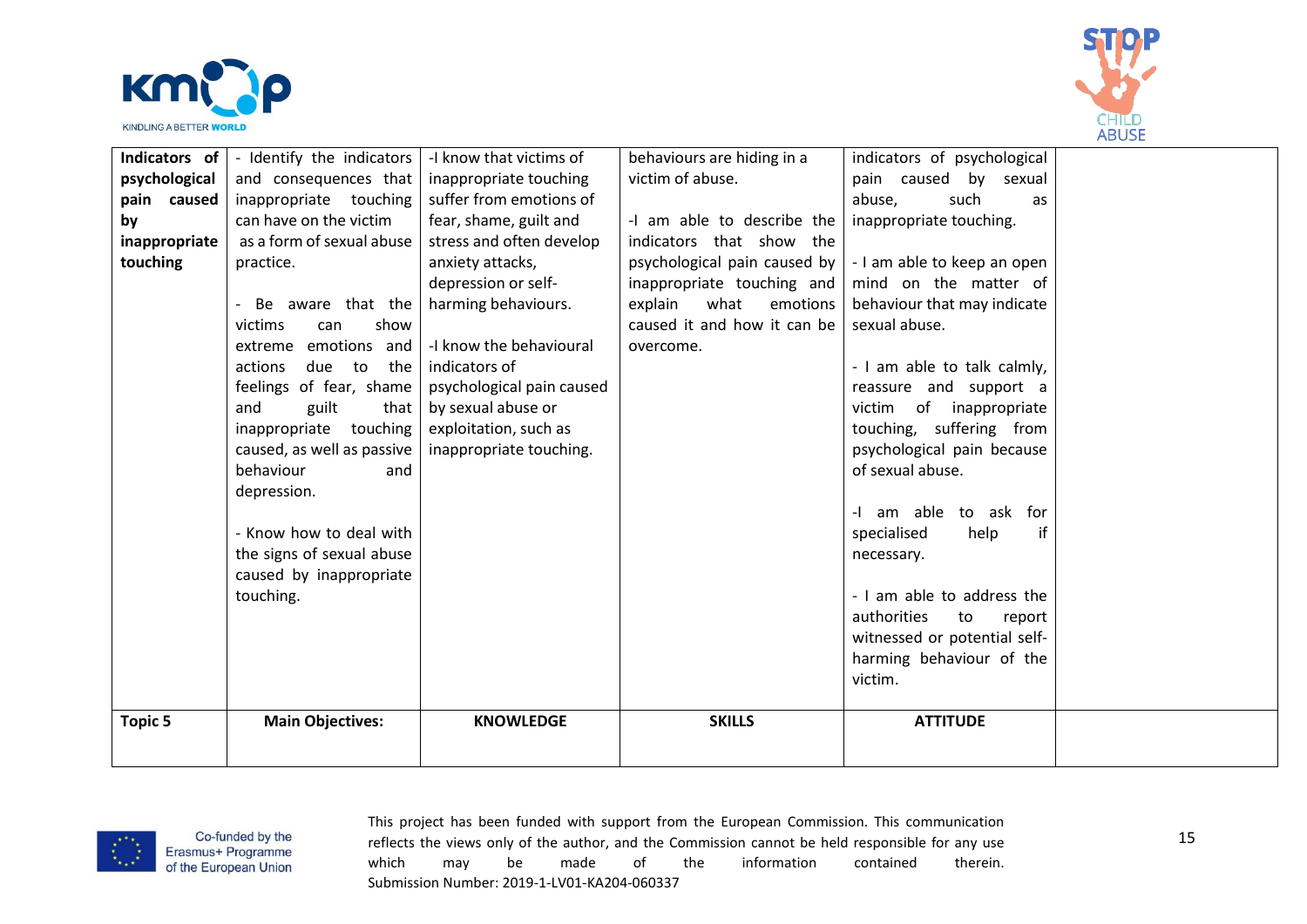



| Indicators of $\vert$<br>psychological<br>pain caused<br>by<br>inappropriate<br>touching | - Identify the indicators<br>and consequences that<br>inappropriate touching<br>can have on the victim<br>as a form of sexual abuse<br>practice.<br>Be aware that the<br>show<br>victims<br>can<br>emotions and<br>extreme<br>due<br>actions<br>to<br>the<br>feelings of fear, shame<br>and<br>guilt<br>that<br>inappropriate<br>touching<br>caused, as well as passive<br>behaviour<br>and<br>depression.<br>- Know how to deal with<br>the signs of sexual abuse<br>caused by inappropriate | -I know that victims of<br>inappropriate touching<br>suffer from emotions of<br>fear, shame, guilt and<br>stress and often develop<br>anxiety attacks,<br>depression or self-<br>harming behaviours.<br>-I know the behavioural<br>indicators of<br>psychological pain caused<br>by sexual abuse or<br>exploitation, such as<br>inappropriate touching. | behaviours are hiding in a<br>victim of abuse.<br>-I am able to describe the<br>indicators that show the<br>psychological pain caused by<br>inappropriate touching and<br>explain<br>what<br>emotions<br>caused it and how it can be<br>overcome. | indicators of psychological<br>by sexual<br>pain caused<br>abuse,<br>such<br>as<br>inappropriate touching.<br>- I am able to keep an open<br>mind on the matter of<br>behaviour that may indicate<br>sexual abuse.<br>- I am able to talk calmly,<br>reassure and support a<br>victim of inappropriate<br>touching, suffering from<br>psychological pain because<br>of sexual abuse.<br>-I am able to ask for<br>specialised<br>if<br>help<br>necessary. |  |
|------------------------------------------------------------------------------------------|-----------------------------------------------------------------------------------------------------------------------------------------------------------------------------------------------------------------------------------------------------------------------------------------------------------------------------------------------------------------------------------------------------------------------------------------------------------------------------------------------|---------------------------------------------------------------------------------------------------------------------------------------------------------------------------------------------------------------------------------------------------------------------------------------------------------------------------------------------------------|---------------------------------------------------------------------------------------------------------------------------------------------------------------------------------------------------------------------------------------------------|----------------------------------------------------------------------------------------------------------------------------------------------------------------------------------------------------------------------------------------------------------------------------------------------------------------------------------------------------------------------------------------------------------------------------------------------------------|--|
|                                                                                          | touching.                                                                                                                                                                                                                                                                                                                                                                                                                                                                                     |                                                                                                                                                                                                                                                                                                                                                         |                                                                                                                                                                                                                                                   | - I am able to address the<br>authorities<br>to<br>report<br>witnessed or potential self-<br>harming behaviour of the<br>victim.                                                                                                                                                                                                                                                                                                                         |  |
| <b>Topic 5</b>                                                                           | <b>Main Objectives:</b>                                                                                                                                                                                                                                                                                                                                                                                                                                                                       | <b>KNOWLEDGE</b>                                                                                                                                                                                                                                                                                                                                        | <b>SKILLS</b>                                                                                                                                                                                                                                     | <b>ATTITUDE</b>                                                                                                                                                                                                                                                                                                                                                                                                                                          |  |

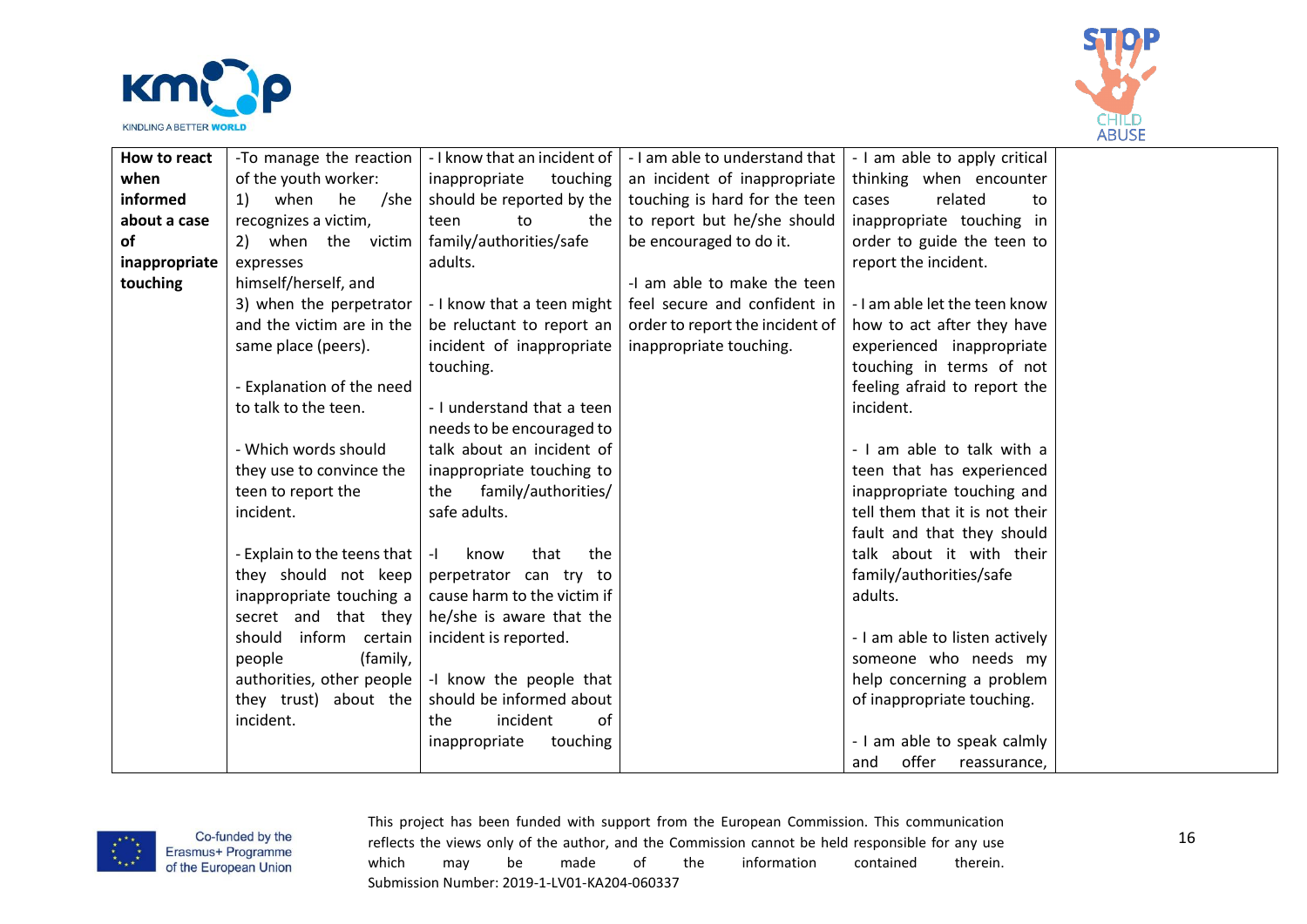



| How to react  | -To manage the reaction                           | - I know that an incident of | - I am able to understand that  | - I am able to apply critical  |  |
|---------------|---------------------------------------------------|------------------------------|---------------------------------|--------------------------------|--|
| when          | of the youth worker:                              | inappropriate<br>touching    | an incident of inappropriate    | thinking when encounter        |  |
| informed      | when<br>he<br>/she<br>1)                          | should be reported by the    | touching is hard for the teen   | related<br>cases<br>to         |  |
| about a case  | recognizes a victim,                              | teen<br>to<br>the            | to report but he/she should     | inappropriate touching in      |  |
| οf            | 2) when the victim                                | family/authorities/safe      | be encouraged to do it.         | order to guide the teen to     |  |
| inappropriate | expresses                                         | adults.                      |                                 | report the incident.           |  |
| touching      | himself/herself, and                              |                              | -I am able to make the teen     |                                |  |
|               | 3) when the perpetrator                           | - I know that a teen might   | feel secure and confident in    | - I am able let the teen know  |  |
|               | and the victim are in the                         | be reluctant to report an    | order to report the incident of | how to act after they have     |  |
|               | same place (peers).                               | incident of inappropriate    | inappropriate touching.         | experienced inappropriate      |  |
|               |                                                   | touching.                    |                                 | touching in terms of not       |  |
|               | - Explanation of the need                         |                              |                                 | feeling afraid to report the   |  |
|               | to talk to the teen.                              | - I understand that a teen   |                                 | incident.                      |  |
|               |                                                   | needs to be encouraged to    |                                 |                                |  |
|               | - Which words should                              | talk about an incident of    |                                 | - I am able to talk with a     |  |
|               | they use to convince the                          | inappropriate touching to    |                                 | teen that has experienced      |  |
|               | teen to report the                                | family/authorities/<br>the   |                                 | inappropriate touching and     |  |
|               | incident.                                         | safe adults.                 |                                 | tell them that it is not their |  |
|               |                                                   |                              |                                 | fault and that they should     |  |
|               | - Explain to the teens that                       | that<br>know<br>the<br>$-1$  |                                 | talk about it with their       |  |
|               | they should not keep                              | perpetrator can try to       |                                 | family/authorities/safe        |  |
|               | inappropriate touching a                          | cause harm to the victim if  |                                 | adults.                        |  |
|               | secret and that they                              | he/she is aware that the     |                                 |                                |  |
|               | should<br>inform certain                          | incident is reported.        |                                 | - I am able to listen actively |  |
|               | people<br>(family,                                |                              |                                 | someone who needs my           |  |
|               | authorities, other people                         | -I know the people that      |                                 | help concerning a problem      |  |
|               | should be informed about<br>they trust) about the |                              |                                 | of inappropriate touching.     |  |
|               | incident.                                         | incident<br>the<br>of        |                                 |                                |  |
|               |                                                   | inappropriate<br>touching    |                                 | - I am able to speak calmly    |  |
|               |                                                   |                              |                                 | offer<br>and<br>reassurance.   |  |